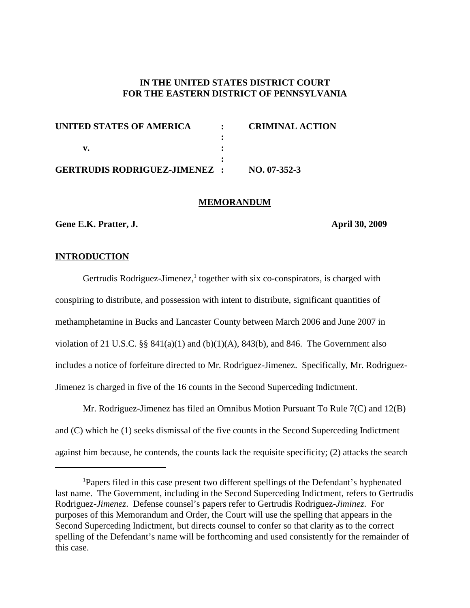## **IN THE UNITED STATES DISTRICT COURT FOR THE EASTERN DISTRICT OF PENNSYLVANIA**

| UNITED STATES OF AMERICA                   | $\mathbf{L}$ | <b>CRIMINAL ACTION</b> |
|--------------------------------------------|--------------|------------------------|
|                                            |              |                        |
|                                            |              |                        |
|                                            |              |                        |
| GERTRUDIS RODRIGUEZ-JIMENEZ : NO. 07-352-3 |              |                        |

#### **MEMORANDUM**

**Gene E.K. Pratter, J. April 30, 2009**

#### **INTRODUCTION**

Gertrudis Rodriguez-Jimenez,<sup>1</sup> together with six co-conspirators, is charged with conspiring to distribute, and possession with intent to distribute, significant quantities of methamphetamine in Bucks and Lancaster County between March 2006 and June 2007 in violation of 21 U.S.C.  $\S$  841(a)(1) and (b)(1)(A), 843(b), and 846. The Government also includes a notice of forfeiture directed to Mr. Rodriguez-Jimenez. Specifically, Mr. Rodriguez-Jimenez is charged in five of the 16 counts in the Second Superceding Indictment.

Mr. Rodriguez-Jimenez has filed an Omnibus Motion Pursuant To Rule  $7(C)$  and  $12(B)$ and (C) which he (1) seeks dismissal of the five counts in the Second Superceding Indictment against him because, he contends, the counts lack the requisite specificity; (2) attacks the search

<sup>&</sup>lt;sup>1</sup>Papers filed in this case present two different spellings of the Defendant's hyphenated last name. The Government, including in the Second Superceding Indictment, refers to Gertrudis Rodriguez-*Jimenez*. Defense counsel's papers refer to Gertrudis Rodriguez-*Jiminez*. For purposes of this Memorandum and Order, the Court will use the spelling that appears in the Second Superceding Indictment, but directs counsel to confer so that clarity as to the correct spelling of the Defendant's name will be forthcoming and used consistently for the remainder of this case.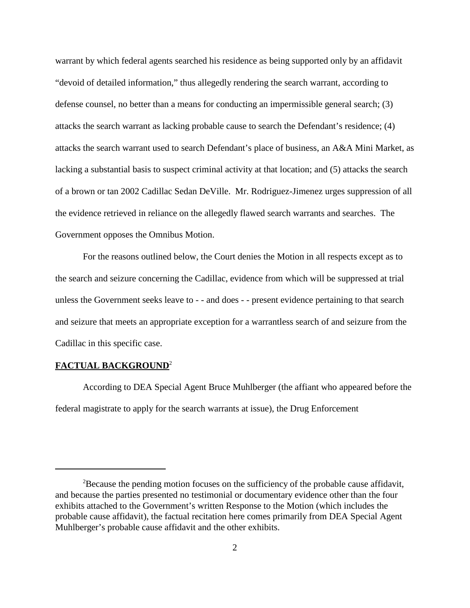warrant by which federal agents searched his residence as being supported only by an affidavit "devoid of detailed information," thus allegedly rendering the search warrant, according to defense counsel, no better than a means for conducting an impermissible general search; (3) attacks the search warrant as lacking probable cause to search the Defendant's residence; (4) attacks the search warrant used to search Defendant's place of business, an A&A Mini Market, as lacking a substantial basis to suspect criminal activity at that location; and (5) attacks the search of a brown or tan 2002 Cadillac Sedan DeVille. Mr. Rodriguez-Jimenez urges suppression of all the evidence retrieved in reliance on the allegedly flawed search warrants and searches. The Government opposes the Omnibus Motion.

For the reasons outlined below, the Court denies the Motion in all respects except as to the search and seizure concerning the Cadillac, evidence from which will be suppressed at trial unless the Government seeks leave to - - and does - - present evidence pertaining to that search and seizure that meets an appropriate exception for a warrantless search of and seizure from the Cadillac in this specific case.

### **FACTUAL BACKGROUND**<sup>2</sup>

According to DEA Special Agent Bruce Muhlberger (the affiant who appeared before the federal magistrate to apply for the search warrants at issue), the Drug Enforcement

 $2B$  Because the pending motion focuses on the sufficiency of the probable cause affidavit, and because the parties presented no testimonial or documentary evidence other than the four exhibits attached to the Government's written Response to the Motion (which includes the probable cause affidavit), the factual recitation here comes primarily from DEA Special Agent Muhlberger's probable cause affidavit and the other exhibits.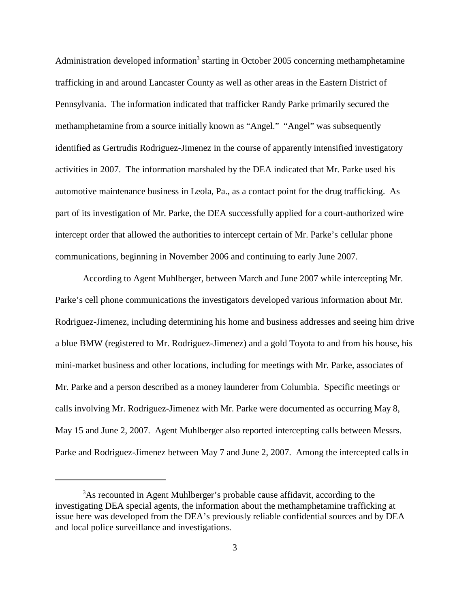Administration developed information<sup>3</sup> starting in October 2005 concerning methamphetamine trafficking in and around Lancaster County as well as other areas in the Eastern District of Pennsylvania. The information indicated that trafficker Randy Parke primarily secured the methamphetamine from a source initially known as "Angel." "Angel" was subsequently identified as Gertrudis Rodriguez-Jimenez in the course of apparently intensified investigatory activities in 2007. The information marshaled by the DEA indicated that Mr. Parke used his automotive maintenance business in Leola, Pa., as a contact point for the drug trafficking. As part of its investigation of Mr. Parke, the DEA successfully applied for a court-authorized wire intercept order that allowed the authorities to intercept certain of Mr. Parke's cellular phone communications, beginning in November 2006 and continuing to early June 2007.

According to Agent Muhlberger, between March and June 2007 while intercepting Mr. Parke's cell phone communications the investigators developed various information about Mr. Rodriguez-Jimenez, including determining his home and business addresses and seeing him drive a blue BMW (registered to Mr. Rodriguez-Jimenez) and a gold Toyota to and from his house, his mini-market business and other locations, including for meetings with Mr. Parke, associates of Mr. Parke and a person described as a money launderer from Columbia. Specific meetings or calls involving Mr. Rodriguez-Jimenez with Mr. Parke were documented as occurring May 8, May 15 and June 2, 2007. Agent Muhlberger also reported intercepting calls between Messrs. Parke and Rodriguez-Jimenez between May 7 and June 2, 2007. Among the intercepted calls in

<sup>&</sup>lt;sup>3</sup>As recounted in Agent Muhlberger's probable cause affidavit, according to the investigating DEA special agents, the information about the methamphetamine trafficking at issue here was developed from the DEA's previously reliable confidential sources and by DEA and local police surveillance and investigations.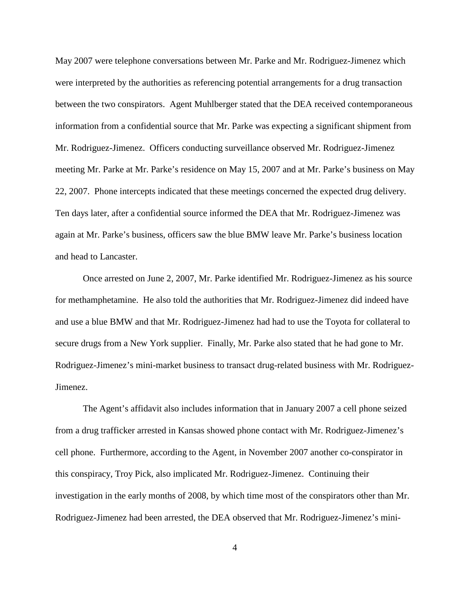May 2007 were telephone conversations between Mr. Parke and Mr. Rodriguez-Jimenez which were interpreted by the authorities as referencing potential arrangements for a drug transaction between the two conspirators. Agent Muhlberger stated that the DEA received contemporaneous information from a confidential source that Mr. Parke was expecting a significant shipment from Mr. Rodriguez-Jimenez. Officers conducting surveillance observed Mr. Rodriguez-Jimenez meeting Mr. Parke at Mr. Parke's residence on May 15, 2007 and at Mr. Parke's business on May 22, 2007. Phone intercepts indicated that these meetings concerned the expected drug delivery. Ten days later, after a confidential source informed the DEA that Mr. Rodriguez-Jimenez was again at Mr. Parke's business, officers saw the blue BMW leave Mr. Parke's business location and head to Lancaster.

Once arrested on June 2, 2007, Mr. Parke identified Mr. Rodriguez-Jimenez as his source for methamphetamine. He also told the authorities that Mr. Rodriguez-Jimenez did indeed have and use a blue BMW and that Mr. Rodriguez-Jimenez had had to use the Toyota for collateral to secure drugs from a New York supplier. Finally, Mr. Parke also stated that he had gone to Mr. Rodriguez-Jimenez's mini-market business to transact drug-related business with Mr. Rodriguez-Jimenez.

The Agent's affidavit also includes information that in January 2007 a cell phone seized from a drug trafficker arrested in Kansas showed phone contact with Mr. Rodriguez-Jimenez's cell phone. Furthermore, according to the Agent, in November 2007 another co-conspirator in this conspiracy, Troy Pick, also implicated Mr. Rodriguez-Jimenez. Continuing their investigation in the early months of 2008, by which time most of the conspirators other than Mr. Rodriguez-Jimenez had been arrested, the DEA observed that Mr. Rodriguez-Jimenez's mini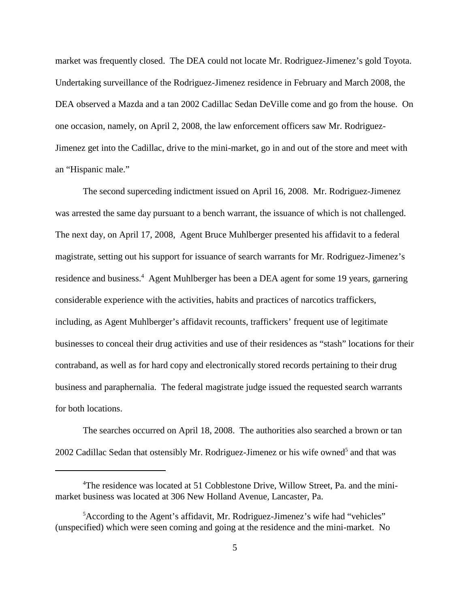market was frequently closed. The DEA could not locate Mr. Rodriguez-Jimenez's gold Toyota. Undertaking surveillance of the Rodriguez-Jimenez residence in February and March 2008, the DEA observed a Mazda and a tan 2002 Cadillac Sedan DeVille come and go from the house. On one occasion, namely, on April 2, 2008, the law enforcement officers saw Mr. Rodriguez-Jimenez get into the Cadillac, drive to the mini-market, go in and out of the store and meet with an "Hispanic male."

The second superceding indictment issued on April 16, 2008. Mr. Rodriguez-Jimenez was arrested the same day pursuant to a bench warrant, the issuance of which is not challenged. The next day, on April 17, 2008, Agent Bruce Muhlberger presented his affidavit to a federal magistrate, setting out his support for issuance of search warrants for Mr. Rodriguez-Jimenez's residence and business. <sup>4</sup> Agent Muhlberger has been a DEA agent for some 19 years, garnering considerable experience with the activities, habits and practices of narcotics traffickers, including, as Agent Muhlberger's affidavit recounts, traffickers' frequent use of legitimate businesses to conceal their drug activities and use of their residences as "stash" locations for their contraband, as well as for hard copy and electronically stored records pertaining to their drug business and paraphernalia. The federal magistrate judge issued the requested search warrants for both locations.

The searches occurred on April 18, 2008. The authorities also searched a brown or tan 2002 Cadillac Sedan that ostensibly Mr. Rodriguez-Jimenez or his wife owned<sup>5</sup> and that was

<sup>&</sup>lt;sup>4</sup>The residence was located at 51 Cobblestone Drive, Willow Street, Pa. and the minimarket business was located at 306 New Holland Avenue, Lancaster, Pa.

<sup>&</sup>lt;sup>5</sup> According to the Agent's affidavit, Mr. Rodriguez-Jimenez's wife had "vehicles" (unspecified) which were seen coming and going at the residence and the mini-market. No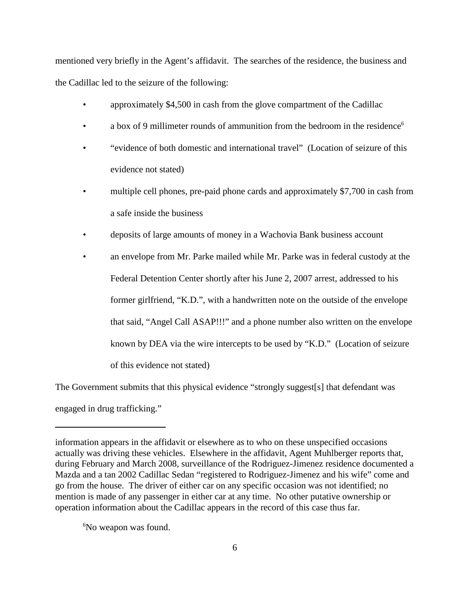mentioned very briefly in the Agent's affidavit. The searches of the residence, the business and the Cadillac led to the seizure of the following:

- approximately \$4,500 in cash from the glove compartment of the Cadillac
- a box of 9 millimeter rounds of ammunition from the bedroom in the residence<sup>6</sup>
- "evidence of both domestic and international travel" (Location of seizure of this evidence not stated)
- multiple cell phones, pre-paid phone cards and approximately \$7,700 in cash from a safe inside the business
- deposits of large amounts of money in a Wachovia Bank business account
- an envelope from Mr. Parke mailed while Mr. Parke was in federal custody at the Federal Detention Center shortly after his June 2, 2007 arrest, addressed to his former girlfriend, "K.D.", with a handwritten note on the outside of the envelope that said, "Angel Call ASAP!!!" and a phone number also written on the envelope known by DEA via the wire intercepts to be used by "K.D." (Location of seizure of this evidence not stated)

The Government submits that this physical evidence "strongly suggest[s] that defendant was

engaged in drug trafficking."

<sup>6</sup>No weapon was found.

information appears in the affidavit or elsewhere as to who on these unspecified occasions actually was driving these vehicles. Elsewhere in the affidavit, Agent Muhlberger reports that, during February and March 2008, surveillance of the Rodriguez-Jimenez residence documented a Mazda and a tan 2002 Cadillac Sedan "registered to Rodriguez-Jimenez and his wife" come and go from the house. The driver of either car on any specific occasion was not identified; no mention is made of any passenger in either car at any time. No other putative ownership or operation information about the Cadillac appears in the record of this case thus far.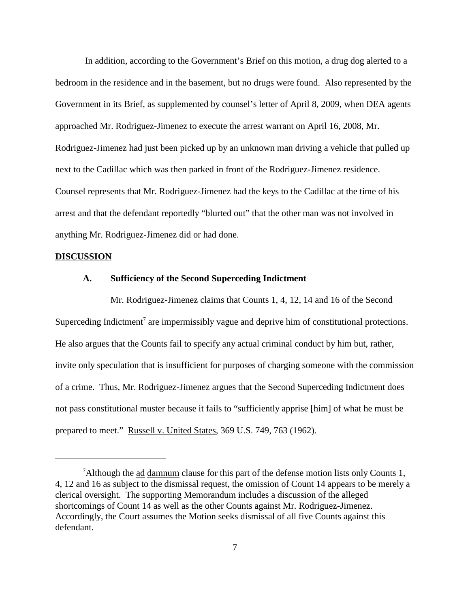In addition, according to the Government's Brief on this motion, a drug dog alerted to a bedroom in the residence and in the basement, but no drugs were found. Also represented by the Government in its Brief, as supplemented by counsel's letter of April 8, 2009, when DEA agents approached Mr. Rodriguez-Jimenez to execute the arrest warrant on April 16, 2008, Mr. Rodriguez-Jimenez had just been picked up by an unknown man driving a vehicle that pulled up next to the Cadillac which was then parked in front of the Rodriguez-Jimenez residence. Counsel represents that Mr. Rodriguez-Jimenez had the keys to the Cadillac at the time of his arrest and that the defendant reportedly "blurted out" that the other man was not involved in anything Mr. Rodriguez-Jimenez did or had done.

#### **DISCUSSION**

## **A. Sufficiency of the Second Superceding Indictment**

Mr. Rodriguez-Jimenez claims that Counts 1, 4, 12, 14 and 16 of the Second Superceding Indictment<sup>7</sup> are impermissibly vague and deprive him of constitutional protections. He also argues that the Counts fail to specify any actual criminal conduct by him but, rather, invite only speculation that is insufficient for purposes of charging someone with the commission of a crime. Thus, Mr. Rodriguez-Jimenez argues that the Second Superceding Indictment does not pass constitutional muster because it fails to "sufficiently apprise [him] of what he must be prepared to meet." Russell v. United States, 369 U.S. 749, 763 (1962).

<sup>&</sup>lt;sup>7</sup>Although the  $\underline{ad}$  damnum clause for this part of the defense motion lists only Counts 1, 4, 12 and 16 as subject to the dismissal request, the omission of Count 14 appears to be merely a clerical oversight. The supporting Memorandum includes a discussion of the alleged shortcomings of Count 14 as well as the other Counts against Mr. Rodriguez-Jimenez. Accordingly, the Court assumes the Motion seeks dismissal of all five Counts against this defendant.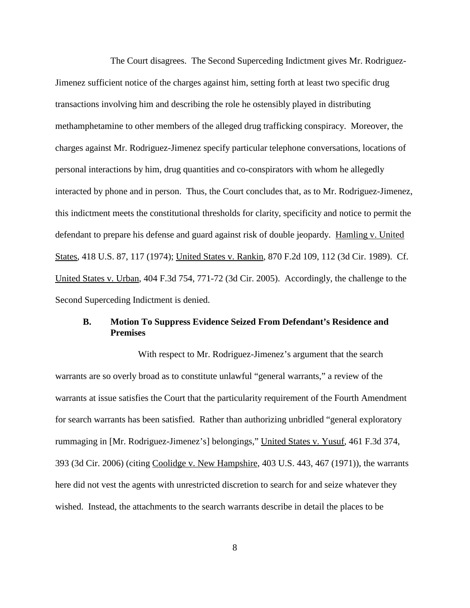The Court disagrees. The Second Superceding Indictment gives Mr. Rodriguez-Jimenez sufficient notice of the charges against him, setting forth at least two specific drug transactions involving him and describing the role he ostensibly played in distributing methamphetamine to other members of the alleged drug trafficking conspiracy. Moreover, the charges against Mr. Rodriguez-Jimenez specify particular telephone conversations, locations of personal interactions by him, drug quantities and co-conspirators with whom he allegedly interacted by phone and in person. Thus, the Court concludes that, as to Mr. Rodriguez-Jimenez, this indictment meets the constitutional thresholds for clarity, specificity and notice to permit the defendant to prepare his defense and guard against risk of double jeopardy. Hamling v. United States, 418 U.S. 87, 117 (1974); United States v. Rankin, 870 F.2d 109, 112 (3d Cir. 1989). Cf. United States v. Urban, 404 F.3d 754, 771-72 (3d Cir. 2005). Accordingly, the challenge to the Second Superceding Indictment is denied.

# **B. Motion To Suppress Evidence Seized From Defendant's Residence and Premises**

With respect to Mr. Rodriguez-Jimenez's argument that the search warrants are so overly broad as to constitute unlawful "general warrants," a review of the warrants at issue satisfies the Court that the particularity requirement of the Fourth Amendment for search warrants has been satisfied. Rather than authorizing unbridled "general exploratory rummaging in [Mr. Rodriguez-Jimenez's] belongings," United States v. Yusuf, 461 F.3d 374, 393 (3d Cir. 2006) (citing Coolidge v. New Hampshire, 403 U.S. 443, 467 (1971)), the warrants here did not vest the agents with unrestricted discretion to search for and seize whatever they wished. Instead, the attachments to the search warrants describe in detail the places to be

8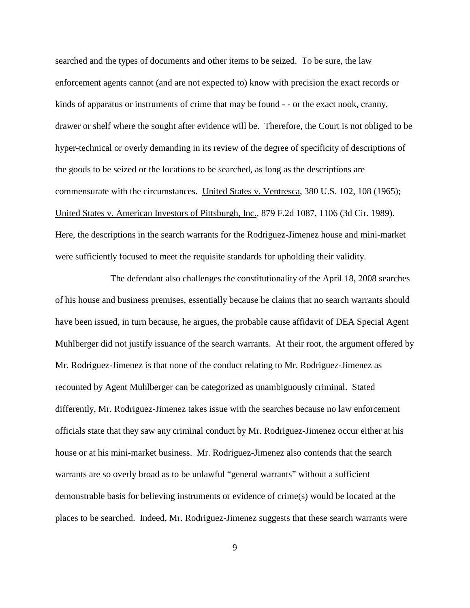searched and the types of documents and other items to be seized. To be sure, the law enforcement agents cannot (and are not expected to) know with precision the exact records or kinds of apparatus or instruments of crime that may be found - - or the exact nook, cranny, drawer or shelf where the sought after evidence will be. Therefore, the Court is not obliged to be hyper-technical or overly demanding in its review of the degree of specificity of descriptions of the goods to be seized or the locations to be searched, as long as the descriptions are commensurate with the circumstances. United States v. Ventresca, 380 U.S. 102, 108 (1965); United States v. American Investors of Pittsburgh, Inc., 879 F.2d 1087, 1106 (3d Cir. 1989). Here, the descriptions in the search warrants for the Rodriguez-Jimenez house and mini-market were sufficiently focused to meet the requisite standards for upholding their validity.

The defendant also challenges the constitutionality of the April 18, 2008 searches of his house and business premises, essentially because he claims that no search warrants should have been issued, in turn because, he argues, the probable cause affidavit of DEA Special Agent Muhlberger did not justify issuance of the search warrants. At their root, the argument offered by Mr. Rodriguez-Jimenez is that none of the conduct relating to Mr. Rodriguez-Jimenez as recounted by Agent Muhlberger can be categorized as unambiguously criminal. Stated differently, Mr. Rodriguez-Jimenez takes issue with the searches because no law enforcement officials state that they saw any criminal conduct by Mr. Rodriguez-Jimenez occur either at his house or at his mini-market business. Mr. Rodriguez-Jimenez also contends that the search warrants are so overly broad as to be unlawful "general warrants" without a sufficient demonstrable basis for believing instruments or evidence of crime(s) would be located at the places to be searched. Indeed, Mr. Rodriguez-Jimenez suggests that these search warrants were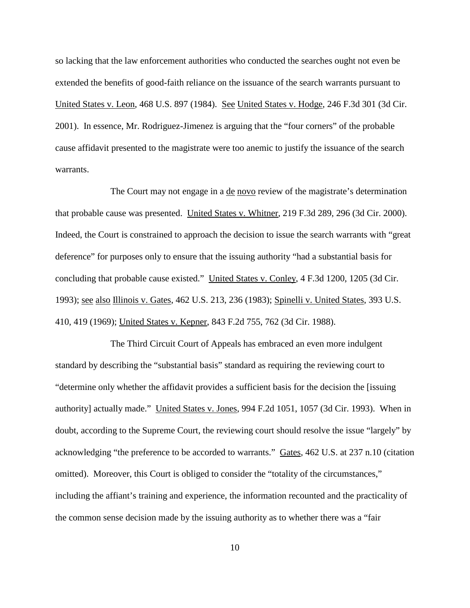so lacking that the law enforcement authorities who conducted the searches ought not even be extended the benefits of good-faith reliance on the issuance of the search warrants pursuant to United States v. Leon, 468 U.S. 897 (1984). See United States v. Hodge, 246 F.3d 301 (3d Cir. 2001). In essence, Mr. Rodriguez-Jimenez is arguing that the "four corners" of the probable cause affidavit presented to the magistrate were too anemic to justify the issuance of the search warrants.

The Court may not engage in a de novo review of the magistrate's determination that probable cause was presented. United States v. Whitner, 219 F.3d 289, 296 (3d Cir. 2000). Indeed, the Court is constrained to approach the decision to issue the search warrants with "great deference" for purposes only to ensure that the issuing authority "had a substantial basis for concluding that probable cause existed." United States v. Conley, 4 F.3d 1200, 1205 (3d Cir. 1993); see also Illinois v. Gates, 462 U.S. 213, 236 (1983); Spinelli v. United States, 393 U.S. 410, 419 (1969); United States v. Kepner, 843 F.2d 755, 762 (3d Cir. 1988).

The Third Circuit Court of Appeals has embraced an even more indulgent standard by describing the "substantial basis" standard as requiring the reviewing court to "determine only whether the affidavit provides a sufficient basis for the decision the [issuing authority] actually made." United States v. Jones, 994 F.2d 1051, 1057 (3d Cir. 1993). When in doubt, according to the Supreme Court, the reviewing court should resolve the issue "largely" by acknowledging "the preference to be accorded to warrants." Gates, 462 U.S. at 237 n.10 (citation omitted). Moreover, this Court is obliged to consider the "totality of the circumstances," including the affiant's training and experience, the information recounted and the practicality of the common sense decision made by the issuing authority as to whether there was a "fair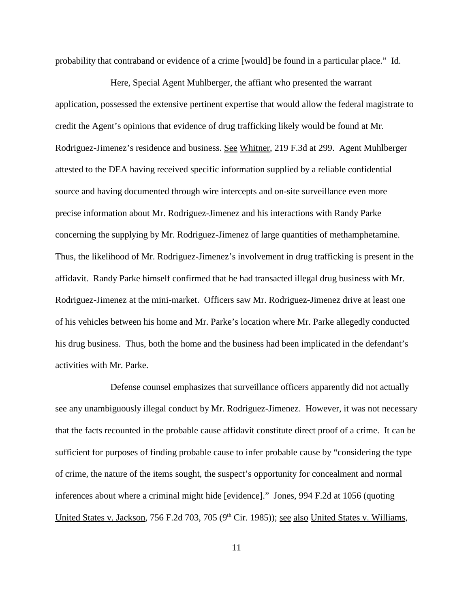probability that contraband or evidence of a crime [would] be found in a particular place." Id.

Here, Special Agent Muhlberger, the affiant who presented the warrant application, possessed the extensive pertinent expertise that would allow the federal magistrate to credit the Agent's opinions that evidence of drug trafficking likely would be found at Mr. Rodriguez-Jimenez's residence and business. See Whitner, 219 F.3d at 299. Agent Muhlberger attested to the DEA having received specific information supplied by a reliable confidential source and having documented through wire intercepts and on-site surveillance even more precise information about Mr. Rodriguez-Jimenez and his interactions with Randy Parke concerning the supplying by Mr. Rodriguez-Jimenez of large quantities of methamphetamine. Thus, the likelihood of Mr. Rodriguez-Jimenez's involvement in drug trafficking is present in the affidavit. Randy Parke himself confirmed that he had transacted illegal drug business with Mr. Rodriguez-Jimenez at the mini-market. Officers saw Mr. Rodriguez-Jimenez drive at least one of his vehicles between his home and Mr. Parke's location where Mr. Parke allegedly conducted his drug business. Thus, both the home and the business had been implicated in the defendant's activities with Mr. Parke.

Defense counsel emphasizes that surveillance officers apparently did not actually see any unambiguously illegal conduct by Mr. Rodriguez-Jimenez. However, it was not necessary that the facts recounted in the probable cause affidavit constitute direct proof of a crime. It can be sufficient for purposes of finding probable cause to infer probable cause by "considering the type of crime, the nature of the items sought, the suspect's opportunity for concealment and normal inferences about where a criminal might hide [evidence]." Jones, 994 F.2d at 1056 (quoting United States v. Jackson, 756 F.2d 703, 705 (9<sup>th</sup> Cir. 1985)); <u>see also United States v. Williams</u>,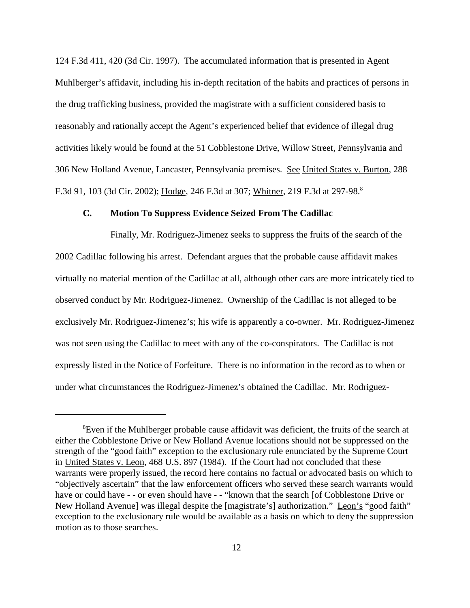124 F.3d 411, 420 (3d Cir. 1997). The accumulated information that is presented in Agent Muhlberger's affidavit, including his in-depth recitation of the habits and practices of persons in the drug trafficking business, provided the magistrate with a sufficient considered basis to reasonably and rationally accept the Agent's experienced belief that evidence of illegal drug activities likely would be found at the 51 Cobblestone Drive, Willow Street, Pennsylvania and 306 New Holland Avenue, Lancaster, Pennsylvania premises. See United States v. Burton, 288 F.3d 91, 103 (3d Cir. 2002); <u>Hodge</u>, 246 F.3d at 307; <u>Whitner,</u> 219 F.3d at 297-98.<sup>8</sup>

### **C. Motion To Suppress Evidence Seized From The Cadillac**

Finally, Mr. Rodriguez-Jimenez seeks to suppress the fruits of the search of the 2002 Cadillac following his arrest. Defendant argues that the probable cause affidavit makes virtually no material mention of the Cadillac at all, although other cars are more intricately tied to observed conduct by Mr. Rodriguez-Jimenez. Ownership of the Cadillac is not alleged to be exclusively Mr. Rodriguez-Jimenez's; his wife is apparently a co-owner. Mr. Rodriguez-Jimenez was not seen using the Cadillac to meet with any of the co-conspirators. The Cadillac is not expressly listed in the Notice of Forfeiture. There is no information in the record as to when or under what circumstances the Rodriguez-Jimenez's obtained the Cadillac. Mr. Rodriguez-

<sup>&</sup>lt;sup>8</sup>Even if the Muhlberger probable cause affidavit was deficient, the fruits of the search at either the Cobblestone Drive or New Holland Avenue locations should not be suppressed on the strength of the "good faith" exception to the exclusionary rule enunciated by the Supreme Court in United States v. Leon, 468 U.S. 897 (1984). If the Court had not concluded that these warrants were properly issued, the record here contains no factual or advocated basis on which to "objectively ascertain" that the law enforcement officers who served these search warrants would have or could have - - or even should have - - "known that the search [of Cobblestone Drive or New Holland Avenue] was illegal despite the [magistrate's] authorization." Leon's "good faith" exception to the exclusionary rule would be available as a basis on which to deny the suppression motion as to those searches.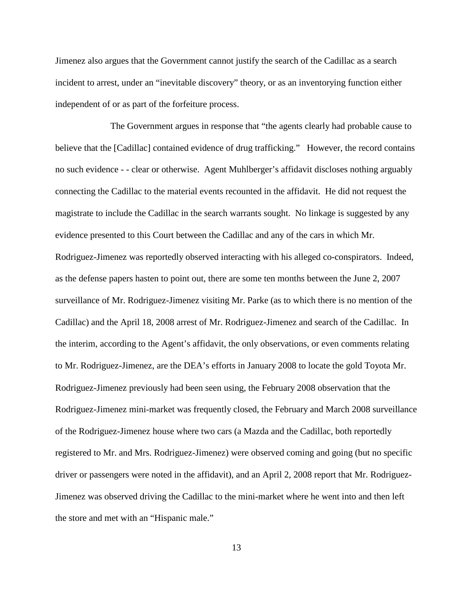Jimenez also argues that the Government cannot justify the search of the Cadillac as a search incident to arrest, under an "inevitable discovery" theory, or as an inventorying function either independent of or as part of the forfeiture process.

The Government argues in response that "the agents clearly had probable cause to believe that the [Cadillac] contained evidence of drug trafficking." However, the record contains no such evidence - - clear or otherwise. Agent Muhlberger's affidavit discloses nothing arguably connecting the Cadillac to the material events recounted in the affidavit. He did not request the magistrate to include the Cadillac in the search warrants sought. No linkage is suggested by any evidence presented to this Court between the Cadillac and any of the cars in which Mr. Rodriguez-Jimenez was reportedly observed interacting with his alleged co-conspirators. Indeed, as the defense papers hasten to point out, there are some ten months between the June 2, 2007 surveillance of Mr. Rodriguez-Jimenez visiting Mr. Parke (as to which there is no mention of the Cadillac) and the April 18, 2008 arrest of Mr. Rodriguez-Jimenez and search of the Cadillac. In the interim, according to the Agent's affidavit, the only observations, or even comments relating to Mr. Rodriguez-Jimenez, are the DEA's efforts in January 2008 to locate the gold Toyota Mr. Rodriguez-Jimenez previously had been seen using, the February 2008 observation that the Rodriguez-Jimenez mini-market was frequently closed, the February and March 2008 surveillance of the Rodriguez-Jimenez house where two cars (a Mazda and the Cadillac, both reportedly registered to Mr. and Mrs. Rodriguez-Jimenez) were observed coming and going (but no specific driver or passengers were noted in the affidavit), and an April 2, 2008 report that Mr. Rodriguez-Jimenez was observed driving the Cadillac to the mini-market where he went into and then left the store and met with an "Hispanic male."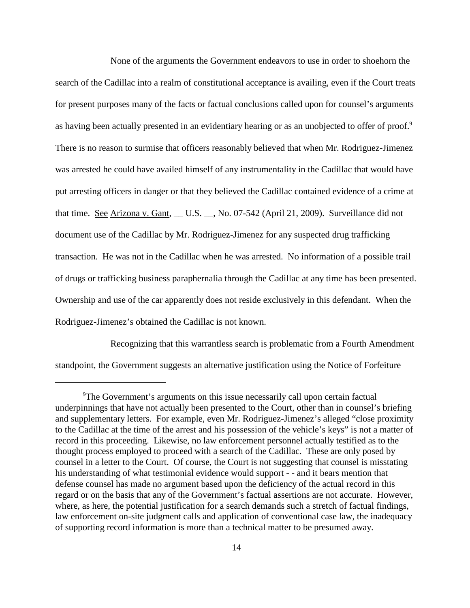None of the arguments the Government endeavors to use in order to shoehorn the search of the Cadillac into a realm of constitutional acceptance is availing, even if the Court treats for present purposes many of the facts or factual conclusions called upon for counsel's arguments as having been actually presented in an evidentiary hearing or as an unobjected to offer of proof.<sup>9</sup> There is no reason to surmise that officers reasonably believed that when Mr. Rodriguez-Jimenez was arrested he could have availed himself of any instrumentality in the Cadillac that would have put arresting officers in danger or that they believed the Cadillac contained evidence of a crime at that time. See Arizona v. Gant, \_\_ U.S. \_\_, No. 07-542 (April 21, 2009). Surveillance did not document use of the Cadillac by Mr. Rodriguez-Jimenez for any suspected drug trafficking transaction. He was not in the Cadillac when he was arrested. No information of a possible trail of drugs or trafficking business paraphernalia through the Cadillac at any time has been presented. Ownership and use of the car apparently does not reside exclusively in this defendant. When the Rodriguez-Jimenez's obtained the Cadillac is not known.

Recognizing that this warrantless search is problematic from a Fourth Amendment standpoint, the Government suggests an alternative justification using the Notice of Forfeiture

<sup>&</sup>lt;sup>9</sup>The Government's arguments on this issue necessarily call upon certain factual underpinnings that have not actually been presented to the Court, other than in counsel's briefing and supplementary letters. For example, even Mr. Rodriguez-Jimenez's alleged "close proximity to the Cadillac at the time of the arrest and his possession of the vehicle's keys" is not a matter of record in this proceeding. Likewise, no law enforcement personnel actually testified as to the thought process employed to proceed with a search of the Cadillac. These are only posed by counsel in a letter to the Court. Of course, the Court is not suggesting that counsel is misstating his understanding of what testimonial evidence would support - - and it bears mention that defense counsel has made no argument based upon the deficiency of the actual record in this regard or on the basis that any of the Government's factual assertions are not accurate. However, where, as here, the potential justification for a search demands such a stretch of factual findings, law enforcement on-site judgment calls and application of conventional case law, the inadequacy of supporting record information is more than a technical matter to be presumed away.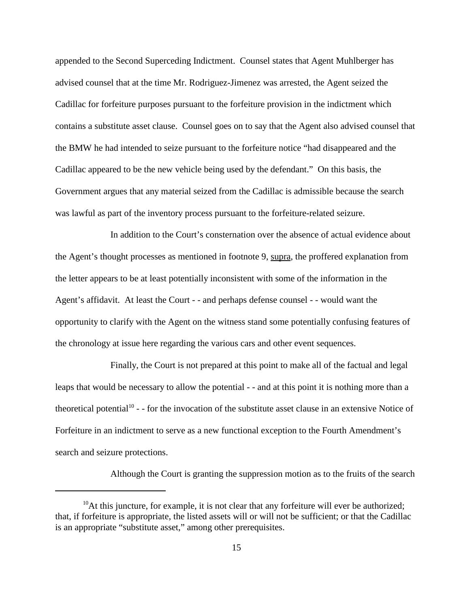appended to the Second Superceding Indictment. Counsel states that Agent Muhlberger has advised counsel that at the time Mr. Rodriguez-Jimenez was arrested, the Agent seized the Cadillac for forfeiture purposes pursuant to the forfeiture provision in the indictment which contains a substitute asset clause. Counsel goes on to say that the Agent also advised counsel that the BMW he had intended to seize pursuant to the forfeiture notice "had disappeared and the Cadillac appeared to be the new vehicle being used by the defendant." On this basis, the Government argues that any material seized from the Cadillac is admissible because the search was lawful as part of the inventory process pursuant to the forfeiture-related seizure.

In addition to the Court's consternation over the absence of actual evidence about the Agent's thought processes as mentioned in footnote 9, supra, the proffered explanation from the letter appears to be at least potentially inconsistent with some of the information in the Agent's affidavit. At least the Court - - and perhaps defense counsel - - would want the opportunity to clarify with the Agent on the witness stand some potentially confusing features of the chronology at issue here regarding the various cars and other event sequences.

Finally, the Court is not prepared at this point to make all of the factual and legal leaps that would be necessary to allow the potential - - and at this point it is nothing more than a theoretical potential<sup>10</sup> - - for the invocation of the substitute asset clause in an extensive Notice of Forfeiture in an indictment to serve as a new functional exception to the Fourth Amendment's search and seizure protections.

Although the Court is granting the suppression motion as to the fruits of the search

 $10$ At this juncture, for example, it is not clear that any forfeiture will ever be authorized; that, if forfeiture is appropriate, the listed assets will or will not be sufficient; or that the Cadillac is an appropriate "substitute asset," among other prerequisites.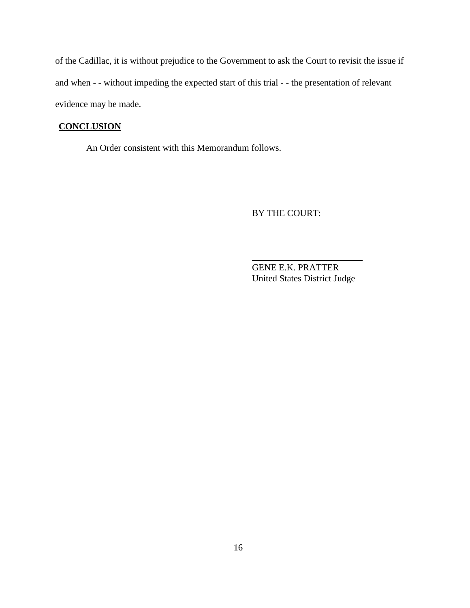of the Cadillac, it is without prejudice to the Government to ask the Court to revisit the issue if and when - - without impeding the expected start of this trial - - the presentation of relevant evidence may be made.

# **CONCLUSION**

An Order consistent with this Memorandum follows.

BY THE COURT:

GENE E.K. PRATTER United States District Judge